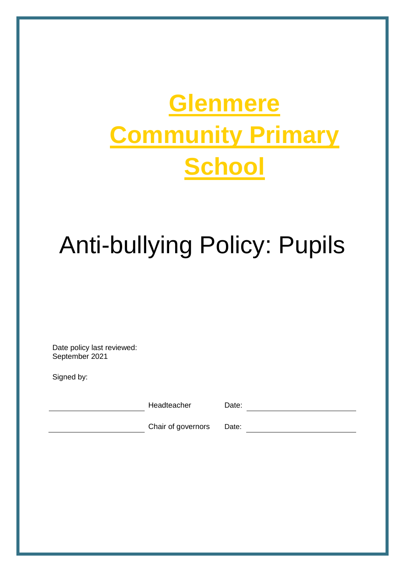# **Glenmere Community Primary School**

# Anti-bullying Policy: Pupils

Date policy last reviewed: September 2021

Signed by:

Headteacher Date:

Chair of governors Date: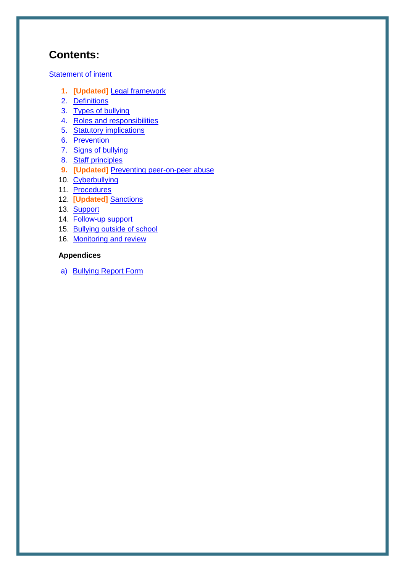## **Contents:**

[Statement of intent](#page-2-0)

- **1. [Updated]** [Legal framework](#page-3-0)
- 2. [Definitions](#page-3-0)
- 3. [Types of bullying](#page-4-0)
- 4. [Roles and responsibilities](#page-5-0)
- 5. [Statutory implications](#page-6-0)
- 6. [Prevention](#page-6-0)
- 7. [Signs of bullying](#page-7-0)
- 8. [Staff principles](#page-8-0)
- **9. [Updated]** [Preventing peer-on-peer abuse](#page-8-0)
- 10. [Cyberbullying](#page-11-0)
- 11. [Procedures](#page-11-0)
- 12. **[Updated]** [Sanctions](#page-12-0)
- 13. [Support](#page-12-0)
- 14. [Follow-up support](#page-12-0)
- 15. [Bullying outside of school](#page-13-0)
- 16. [Monitoring and review](#page-13-0)

#### **Appendices**

a) [Bullying Report Form](#page-15-0)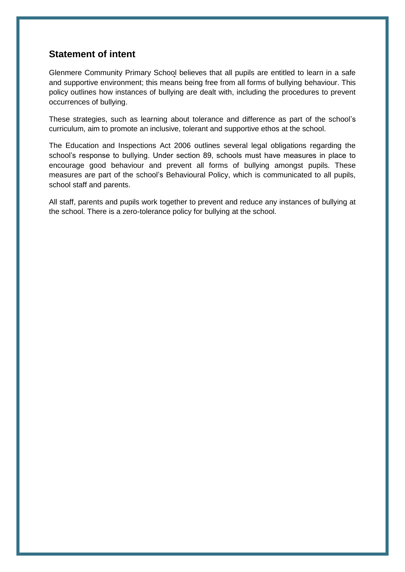## <span id="page-2-0"></span>**Statement of intent**

Glenmere Community Primary School believes that all pupils are entitled to learn in a safe and supportive environment; this means being free from all forms of bullying behaviour. This policy outlines how instances of bullying are dealt with, including the procedures to prevent occurrences of bullying.

These strategies, such as learning about tolerance and difference as part of the school's curriculum, aim to promote an inclusive, tolerant and supportive ethos at the school.

The Education and Inspections Act 2006 outlines several legal obligations regarding the school's response to bullying. Under section 89, schools must have measures in place to encourage good behaviour and prevent all forms of bullying amongst pupils. These measures are part of the school's Behavioural Policy, which is communicated to all pupils, school staff and parents.

All staff, parents and pupils work together to prevent and reduce any instances of bullying at the school. There is a zero-tolerance policy for bullying at the school.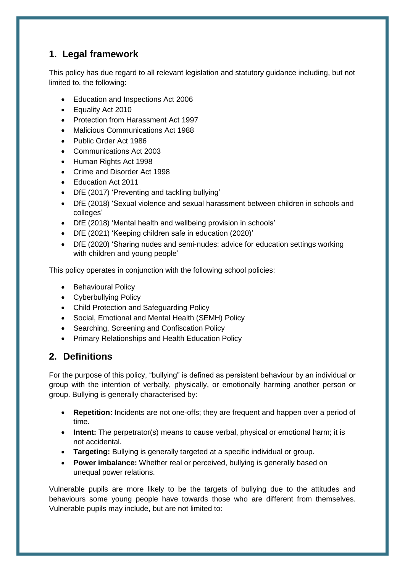## <span id="page-3-0"></span>**1. Legal framework**

This policy has due regard to all relevant legislation and statutory guidance including, but not limited to, the following:

- Education and Inspections Act 2006
- Equality Act 2010
- Protection from Harassment Act 1997
- Malicious Communications Act 1988
- Public Order Act 1986
- Communications Act 2003
- Human Rights Act 1998
- Crime and Disorder Act 1998
- Education Act 2011
- DfE (2017) 'Preventing and tackling bullying'
- DfE (2018) 'Sexual violence and sexual harassment between children in schools and colleges'
- DfE (2018) 'Mental health and wellbeing provision in schools'
- DfE (2021) 'Keeping children safe in education (2020)'
- DfE (2020) 'Sharing nudes and semi-nudes: advice for education settings working with children and young people'

This policy operates in conjunction with the following school policies:

- Behavioural Policy
- Cyberbullying Policy
- Child Protection and Safeguarding Policy
- Social, Emotional and Mental Health (SEMH) Policy
- Searching, Screening and Confiscation Policy
- Primary Relationships and Health Education Policy

## **2. Definitions**

For the purpose of this policy, "bullying" is defined as persistent behaviour by an individual or group with the intention of verbally, physically, or emotionally harming another person or group. Bullying is generally characterised by:

- **Repetition:** Incidents are not one-offs; they are frequent and happen over a period of time.
- **Intent:** The perpetrator(s) means to cause verbal, physical or emotional harm; it is not accidental.
- **Targeting:** Bullying is generally targeted at a specific individual or group.
- **Power imbalance:** Whether real or perceived, bullying is generally based on unequal power relations.

Vulnerable pupils are more likely to be the targets of bullying due to the attitudes and behaviours some young people have towards those who are different from themselves. Vulnerable pupils may include, but are not limited to: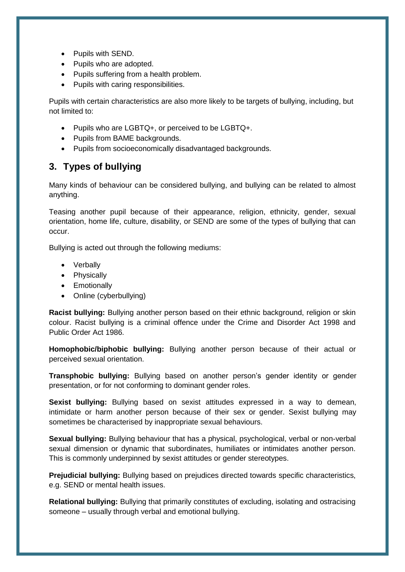- <span id="page-4-0"></span>• Pupils with SEND.
- Pupils who are adopted.
- Pupils suffering from a health problem.
- Pupils with caring responsibilities.

Pupils with certain characteristics are also more likely to be targets of bullying, including, but not limited to:

- Pupils who are LGBTQ+, or perceived to be LGBTQ+.
- Pupils from BAME backgrounds.
- Pupils from socioeconomically disadvantaged backgrounds.

## **3. Types of bullying**

Many kinds of behaviour can be considered bullying, and bullying can be related to almost anything.

Teasing another pupil because of their appearance, religion, ethnicity, gender, sexual orientation, home life, culture, disability, or SEND are some of the types of bullying that can occur.

Bullying is acted out through the following mediums:

- Verbally
- Physically
- Emotionally
- Online (cyberbullying)

**Racist bullying:** Bullying another person based on their ethnic background, religion or skin colour. Racist bullying is a criminal offence under the Crime and Disorder Act 1998 and Public Order Act 1986.

**Homophobic/biphobic bullying:** Bullying another person because of their actual or perceived sexual orientation.

**Transphobic bullying:** Bullying based on another person's gender identity or gender presentation, or for not conforming to dominant gender roles.

**Sexist bullying:** Bullying based on sexist attitudes expressed in a way to demean, intimidate or harm another person because of their sex or gender. Sexist bullying may sometimes be characterised by inappropriate sexual behaviours.

**Sexual bullying:** Bullying behaviour that has a physical, psychological, verbal or non-verbal sexual dimension or dynamic that subordinates, humiliates or intimidates another person. This is commonly underpinned by sexist attitudes or gender stereotypes.

**Prejudicial bullying:** Bullying based on prejudices directed towards specific characteristics, e.g. SEND or mental health issues.

**Relational bullying:** Bullying that primarily constitutes of excluding, isolating and ostracising someone – usually through verbal and emotional bullying.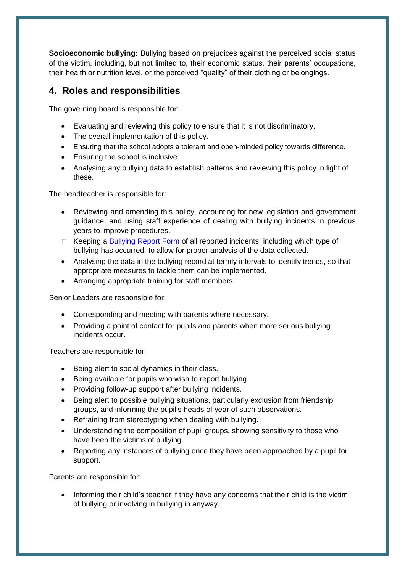<span id="page-5-0"></span>**Socioeconomic bullying:** Bullying based on prejudices against the perceived social status of the victim, including, but not limited to, their economic status, their parents' occupations, their health or nutrition level, or the perceived "quality" of their clothing or belongings.

## **4. Roles and responsibilities**

The governing board is responsible for:

- Evaluating and reviewing this policy to ensure that it is not discriminatory.
- The overall implementation of this policy.
- Ensuring that the school adopts a tolerant and open-minded policy towards difference.
- **Ensuring the school is inclusive.**
- Analysing any bullying data to establish patterns and reviewing this policy in light of these.

The headteacher is responsible for:

- Reviewing and amending this policy, accounting for new legislation and government guidance, and using staff experience of dealing with bullying incidents in previous years to improve procedures.
- $\Box$  Keeping a [Bullying Report Form](#page-15-0) of all reported incidents, including which type of bullying has occurred, to allow for proper analysis of the data collected.
- Analysing the data in the bullying record at termly intervals to identify trends, so that appropriate measures to tackle them can be implemented.
- Arranging appropriate training for staff members.

Senior Leaders are responsible for:

- Corresponding and meeting with parents where necessary.
- Providing a point of contact for pupils and parents when more serious bullying incidents occur.

Teachers are responsible for:

- Being alert to social dynamics in their class.
- Being available for pupils who wish to report bullying.
- Providing follow-up support after bullying incidents.
- Being alert to possible bullying situations, particularly exclusion from friendship groups, and informing the pupil's heads of year of such observations.
- Refraining from stereotyping when dealing with bullying.
- Understanding the composition of pupil groups, showing sensitivity to those who have been the victims of bullying.
- Reporting any instances of bullying once they have been approached by a pupil for support.

Parents are responsible for:

• Informing their child's teacher if they have any concerns that their child is the victim of bullying or involving in bullying in anyway.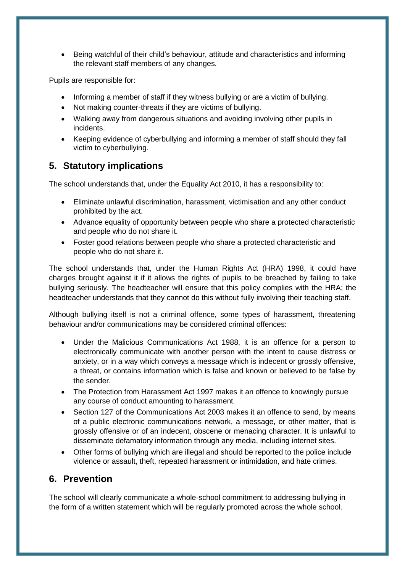<span id="page-6-0"></span> Being watchful of their child's behaviour, attitude and characteristics and informing the relevant staff members of any changes.

Pupils are responsible for:

- Informing a member of staff if they witness bullying or are a victim of bullying.
- Not making counter-threats if they are victims of bullying.
- Walking away from dangerous situations and avoiding involving other pupils in incidents.
- Keeping evidence of cyberbullying and informing a member of staff should they fall victim to cyberbullying.

## **5. Statutory implications**

The school understands that, under the Equality Act 2010, it has a responsibility to:

- Eliminate unlawful discrimination, harassment, victimisation and any other conduct prohibited by the act.
- Advance equality of opportunity between people who share a protected characteristic and people who do not share it.
- Foster good relations between people who share a protected characteristic and people who do not share it.

The school understands that, under the Human Rights Act (HRA) 1998, it could have charges brought against it if it allows the rights of pupils to be breached by failing to take bullying seriously. The headteacher will ensure that this policy complies with the HRA; the headteacher understands that they cannot do this without fully involving their teaching staff.

Although bullying itself is not a criminal offence, some types of harassment, threatening behaviour and/or communications may be considered criminal offences:

- Under the Malicious Communications Act 1988, it is an offence for a person to electronically communicate with another person with the intent to cause distress or anxiety, or in a way which conveys a message which is indecent or grossly offensive, a threat, or contains information which is false and known or believed to be false by the sender.
- The Protection from Harassment Act 1997 makes it an offence to knowingly pursue any course of conduct amounting to harassment.
- Section 127 of the Communications Act 2003 makes it an offence to send, by means of a public electronic communications network, a message, or other matter, that is grossly offensive or of an indecent, obscene or menacing character. It is unlawful to disseminate defamatory information through any media, including internet sites.
- Other forms of bullying which are illegal and should be reported to the police include violence or assault, theft, repeated harassment or intimidation, and hate crimes.

## **6. Prevention**

The school will clearly communicate a whole-school commitment to addressing bullying in the form of a written statement which will be regularly promoted across the whole school.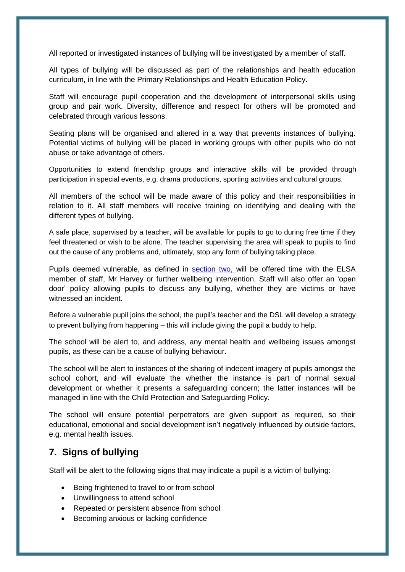<span id="page-7-0"></span>All reported or investigated instances of bullying will be investigated by a member of staff.

All types of bullying will be discussed as part of the relationships and health education curriculum, in line with the Primary Relationships and Health Education Policy.

Staff will encourage pupil cooperation and the development of interpersonal skills using group and pair work. Diversity, difference and respect for others will be promoted and celebrated through various lessons.

Seating plans will be organised and altered in a way that prevents instances of bullying. Potential victims of bullying will be placed in working groups with other pupils who do not abuse or take advantage of others.

Opportunities to extend friendship groups and interactive skills will be provided through participation in special events, e.g. drama productions, sporting activities and cultural groups.

All members of the school will be made aware of this policy and their responsibilities in relation to it. All staff members will receive training on identifying and dealing with the different types of bullying.

A safe place, supervised by a teacher, will be available for pupils to go to during free time if they feel threatened or wish to be alone. The teacher supervising the area will speak to pupils to find out the cause of any problems and, ultimately, stop any form of bullying taking place.

Pupils deemed vulnerable, as defined in [section two, w](#page-3-0)ill be offered time with the ELSA member of staff, Mr Harvey or further wellbeing intervention. Staff will also offer an 'open door' policy allowing pupils to discuss any bullying, whether they are victims or have witnessed an incident.

Before a vulnerable pupil joins the school, the pupil's teacher and the DSL will develop a strategy to prevent bullying from happening – this will include giving the pupil a buddy to help.

The school will be alert to, and address, any mental health and wellbeing issues amongst pupils, as these can be a cause of bullying behaviour.

The school will be alert to instances of the sharing of indecent imagery of pupils amongst the school cohort, and will evaluate the whether the instance is part of normal sexual development or whether it presents a safeguarding concern; the latter instances will be managed in line with the Child Protection and Safeguarding Policy.

The school will ensure potential perpetrators are given support as required, so their educational, emotional and social development isn't negatively influenced by outside factors, e.g. mental health issues.

## **7. Signs of bullying**

Staff will be alert to the following signs that may indicate a pupil is a victim of bullying:

- Being frightened to travel to or from school
- Unwillingness to attend school
- Repeated or persistent absence from school
- **Becoming anxious or lacking confidence**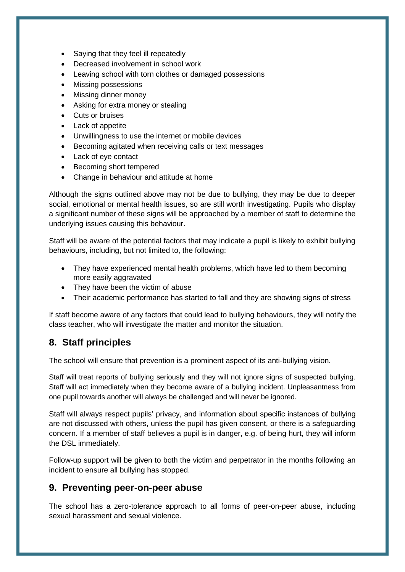- <span id="page-8-0"></span>• Saying that they feel ill repeatedly
- Decreased involvement in school work
- Leaving school with torn clothes or damaged possessions
- Missing possessions
- Missing dinner money
- Asking for extra money or stealing
- Cuts or bruises
- Lack of appetite
- Unwillingness to use the internet or mobile devices
- Becoming agitated when receiving calls or text messages
- Lack of eye contact
- Becoming short tempered
- Change in behaviour and attitude at home

Although the signs outlined above may not be due to bullying, they may be due to deeper social, emotional or mental health issues, so are still worth investigating. Pupils who display a significant number of these signs will be approached by a member of staff to determine the underlying issues causing this behaviour.

Staff will be aware of the potential factors that may indicate a pupil is likely to exhibit bullying behaviours, including, but not limited to, the following:

- They have experienced mental health problems, which have led to them becoming more easily aggravated
- They have been the victim of abuse
- Their academic performance has started to fall and they are showing signs of stress

If staff become aware of any factors that could lead to bullying behaviours, they will notify the class teacher, who will investigate the matter and monitor the situation.

## **8. Staff principles**

The school will ensure that prevention is a prominent aspect of its anti-bullying vision.

Staff will treat reports of bullying seriously and they will not ignore signs of suspected bullying. Staff will act immediately when they become aware of a bullying incident. Unpleasantness from one pupil towards another will always be challenged and will never be ignored.

Staff will always respect pupils' privacy, and information about specific instances of bullying are not discussed with others, unless the pupil has given consent, or there is a safeguarding concern. If a member of staff believes a pupil is in danger, e.g. of being hurt, they will inform the DSL immediately.

Follow-up support will be given to both the victim and perpetrator in the months following an incident to ensure all bullying has stopped.

#### **9. Preventing peer-on-peer abuse**

The school has a zero-tolerance approach to all forms of peer-on-peer abuse, including sexual harassment and sexual violence.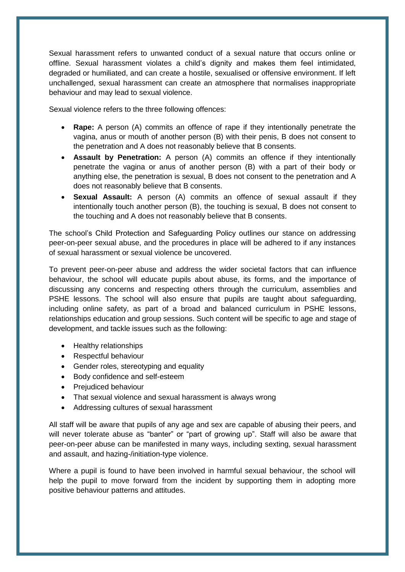Sexual harassment refers to unwanted conduct of a sexual nature that occurs online or offline. Sexual harassment violates a child's dignity and makes them feel intimidated, degraded or humiliated, and can create a hostile, sexualised or offensive environment. If left unchallenged, sexual harassment can create an atmosphere that normalises inappropriate behaviour and may lead to sexual violence.

Sexual violence refers to the three following offences:

- **Rape:** A person (A) commits an offence of rape if they intentionally penetrate the vagina, anus or mouth of another person (B) with their penis, B does not consent to the penetration and A does not reasonably believe that B consents.
- **Assault by Penetration:** A person (A) commits an offence if they intentionally penetrate the vagina or anus of another person (B) with a part of their body or anything else, the penetration is sexual, B does not consent to the penetration and A does not reasonably believe that B consents.
- **Sexual Assault:** A person (A) commits an offence of sexual assault if they intentionally touch another person (B), the touching is sexual, B does not consent to the touching and A does not reasonably believe that B consents.

The school's Child Protection and Safeguarding Policy outlines our stance on addressing peer-on-peer sexual abuse, and the procedures in place will be adhered to if any instances of sexual harassment or sexual violence be uncovered.

To prevent peer-on-peer abuse and address the wider societal factors that can influence behaviour, the school will educate pupils about abuse, its forms, and the importance of discussing any concerns and respecting others through the curriculum, assemblies and PSHE lessons. The school will also ensure that pupils are taught about safeguarding, including online safety, as part of a broad and balanced curriculum in PSHE lessons, relationships education and group sessions. Such content will be specific to age and stage of development, and tackle issues such as the following:

- Healthy relationships
- Respectful behaviour
- Gender roles, stereotyping and equality
- Body confidence and self-esteem
- Prejudiced behaviour
- That sexual violence and sexual harassment is always wrong
- Addressing cultures of sexual harassment

All staff will be aware that pupils of any age and sex are capable of abusing their peers, and will never tolerate abuse as "banter" or "part of growing up". Staff will also be aware that peer-on-peer abuse can be manifested in many ways, including sexting, sexual harassment and assault, and hazing-/initiation-type violence.

Where a pupil is found to have been involved in harmful sexual behaviour, the school will help the pupil to move forward from the incident by supporting them in adopting more positive behaviour patterns and attitudes.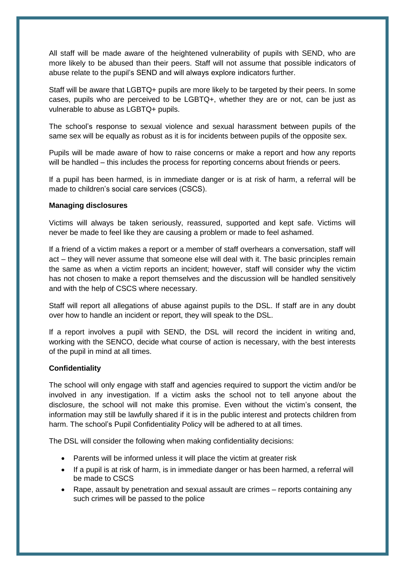All staff will be made aware of the heightened vulnerability of pupils with SEND, who are more likely to be abused than their peers. Staff will not assume that possible indicators of abuse relate to the pupil's SEND and will always explore indicators further.

Staff will be aware that LGBTQ+ pupils are more likely to be targeted by their peers. In some cases, pupils who are perceived to be LGBTQ+, whether they are or not, can be just as vulnerable to abuse as LGBTQ+ pupils.

The school's response to sexual violence and sexual harassment between pupils of the same sex will be equally as robust as it is for incidents between pupils of the opposite sex.

Pupils will be made aware of how to raise concerns or make a report and how any reports will be handled – this includes the process for reporting concerns about friends or peers.

If a pupil has been harmed, is in immediate danger or is at risk of harm, a referral will be made to children's social care services (CSCS).

#### **Managing disclosures**

Victims will always be taken seriously, reassured, supported and kept safe. Victims will never be made to feel like they are causing a problem or made to feel ashamed.

If a friend of a victim makes a report or a member of staff overhears a conversation, staff will act – they will never assume that someone else will deal with it. The basic principles remain the same as when a victim reports an incident; however, staff will consider why the victim has not chosen to make a report themselves and the discussion will be handled sensitively and with the help of CSCS where necessary.

Staff will report all allegations of abuse against pupils to the DSL. If staff are in any doubt over how to handle an incident or report, they will speak to the DSL.

If a report involves a pupil with SEND, the DSL will record the incident in writing and, working with the SENCO, decide what course of action is necessary, with the best interests of the pupil in mind at all times.

#### **Confidentiality**

The school will only engage with staff and agencies required to support the victim and/or be involved in any investigation. If a victim asks the school not to tell anyone about the disclosure, the school will not make this promise. Even without the victim's consent, the information may still be lawfully shared if it is in the public interest and protects children from harm. The school's Pupil Confidentiality Policy will be adhered to at all times.

The DSL will consider the following when making confidentiality decisions:

- Parents will be informed unless it will place the victim at greater risk
- If a pupil is at risk of harm, is in immediate danger or has been harmed, a referral will be made to CSCS
- Rape, assault by penetration and sexual assault are crimes reports containing any such crimes will be passed to the police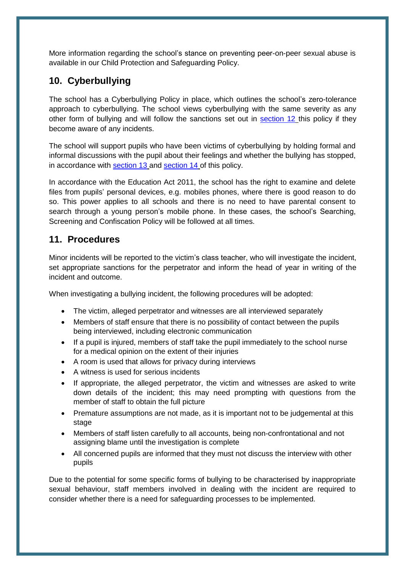<span id="page-11-0"></span>More information regarding the school's stance on preventing peer-on-peer sexual abuse is available in our Child Protection and Safeguarding Policy.

## **10. Cyberbullying**

The school has a Cyberbullying Policy in place, which outlines the school's zero-tolerance approach to cyberbullying. The school views cyberbullying with the same severity as any other form of bullying and will follow the sanctions set out in [section 12](#page-12-0) this policy if they become aware of any incidents.

The school will support pupils who have been victims of cyberbullying by holding formal and informal discussions with the pupil about their feelings and whether the bullying has stopped, in accordance with [section 13](#page-12-0) and [section 14](#page-12-0) of this policy.

In accordance with the Education Act 2011, the school has the right to examine and delete files from pupils' personal devices, e.g. mobiles phones, where there is good reason to do so. This power applies to all schools and there is no need to have parental consent to search through a young person's mobile phone. In these cases, the school's Searching, Screening and Confiscation Policy will be followed at all times.

## **11. Procedures**

Minor incidents will be reported to the victim's class teacher, who will investigate the incident, set appropriate sanctions for the perpetrator and inform the head of year in writing of the incident and outcome.

When investigating a bullying incident, the following procedures will be adopted:

- The victim, alleged perpetrator and witnesses are all interviewed separately
- Members of staff ensure that there is no possibility of contact between the pupils being interviewed, including electronic communication
- If a pupil is injured, members of staff take the pupil immediately to the school nurse for a medical opinion on the extent of their injuries
- A room is used that allows for privacy during interviews
- A witness is used for serious incidents
- If appropriate, the alleged perpetrator, the victim and witnesses are asked to write down details of the incident; this may need prompting with questions from the member of staff to obtain the full picture
- Premature assumptions are not made, as it is important not to be judgemental at this stage
- Members of staff listen carefully to all accounts, being non-confrontational and not assigning blame until the investigation is complete
- All concerned pupils are informed that they must not discuss the interview with other pupils

Due to the potential for some specific forms of bullying to be characterised by inappropriate sexual behaviour, staff members involved in dealing with the incident are required to consider whether there is a need for safeguarding processes to be implemented.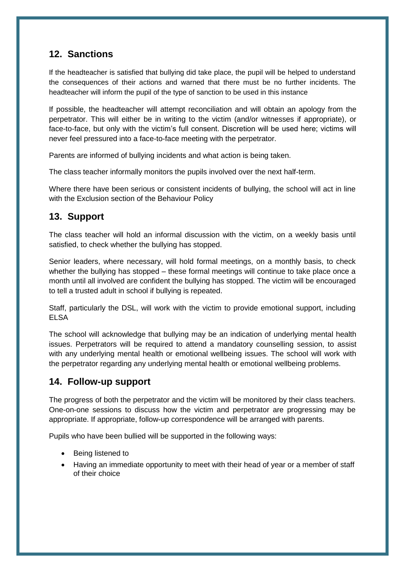## <span id="page-12-0"></span>**12. Sanctions**

If the headteacher is satisfied that bullying did take place, the pupil will be helped to understand the consequences of their actions and warned that there must be no further incidents. The headteacher will inform the pupil of the type of sanction to be used in this instance

If possible, the headteacher will attempt reconciliation and will obtain an apology from the perpetrator. This will either be in writing to the victim (and/or witnesses if appropriate), or face-to-face, but only with the victim's full consent. Discretion will be used here; victims will never feel pressured into a face-to-face meeting with the perpetrator.

Parents are informed of bullying incidents and what action is being taken.

The class teacher informally monitors the pupils involved over the next half-term.

Where there have been serious or consistent incidents of bullying, the school will act in line with the Exclusion section of the Behaviour Policy

## **13. Support**

The class teacher will hold an informal discussion with the victim, on a weekly basis until satisfied, to check whether the bullying has stopped.

Senior leaders, where necessary, will hold formal meetings, on a monthly basis, to check whether the bullying has stopped – these formal meetings will continue to take place once a month until all involved are confident the bullying has stopped. The victim will be encouraged to tell a trusted adult in school if bullying is repeated.

Staff, particularly the DSL, will work with the victim to provide emotional support, including ELSA

The school will acknowledge that bullying may be an indication of underlying mental health issues. Perpetrators will be required to attend a mandatory counselling session, to assist with any underlying mental health or emotional wellbeing issues. The school will work with the perpetrator regarding any underlying mental health or emotional wellbeing problems.

## **14. Follow-up support**

The progress of both the perpetrator and the victim will be monitored by their class teachers. One-on-one sessions to discuss how the victim and perpetrator are progressing may be appropriate. If appropriate, follow-up correspondence will be arranged with parents.

Pupils who have been bullied will be supported in the following ways:

- Being listened to
- Having an immediate opportunity to meet with their head of year or a member of staff of their choice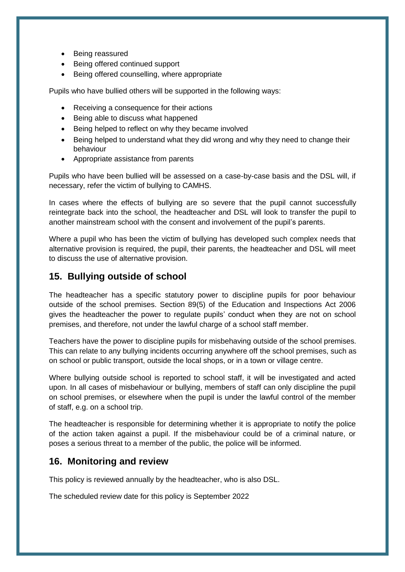- <span id="page-13-0"></span>• Being reassured
- Being offered continued support
- Being offered counselling, where appropriate

Pupils who have bullied others will be supported in the following ways:

- Receiving a consequence for their actions
- Being able to discuss what happened
- Being helped to reflect on why they became involved
- Being helped to understand what they did wrong and why they need to change their behaviour
- Appropriate assistance from parents

Pupils who have been bullied will be assessed on a case-by-case basis and the DSL will, if necessary, refer the victim of bullying to CAMHS.

In cases where the effects of bullying are so severe that the pupil cannot successfully reintegrate back into the school, the headteacher and DSL will look to transfer the pupil to another mainstream school with the consent and involvement of the pupil's parents.

Where a pupil who has been the victim of bullying has developed such complex needs that alternative provision is required, the pupil, their parents, the headteacher and DSL will meet to discuss the use of alternative provision.

## **15. Bullying outside of school**

The headteacher has a specific statutory power to discipline pupils for poor behaviour outside of the school premises. Section 89(5) of the Education and Inspections Act 2006 gives the headteacher the power to regulate pupils' conduct when they are not on school premises, and therefore, not under the lawful charge of a school staff member.

Teachers have the power to discipline pupils for misbehaving outside of the school premises. This can relate to any bullying incidents occurring anywhere off the school premises, such as on school or public transport, outside the local shops, or in a town or village centre.

Where bullying outside school is reported to school staff, it will be investigated and acted upon. In all cases of misbehaviour or bullying, members of staff can only discipline the pupil on school premises, or elsewhere when the pupil is under the lawful control of the member of staff, e.g. on a school trip.

The headteacher is responsible for determining whether it is appropriate to notify the police of the action taken against a pupil. If the misbehaviour could be of a criminal nature, or poses a serious threat to a member of the public, the police will be informed.

## **16. Monitoring and review**

This policy is reviewed annually by the headteacher, who is also DSL.

The scheduled review date for this policy is September 2022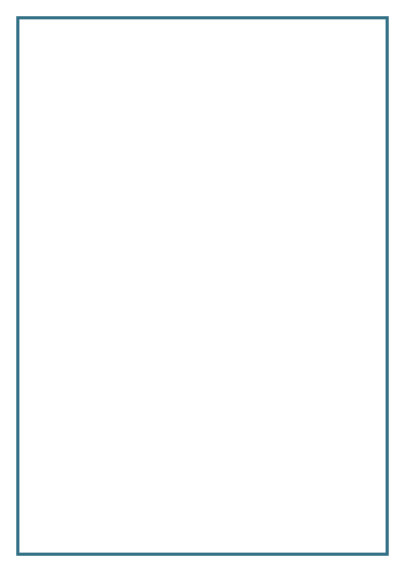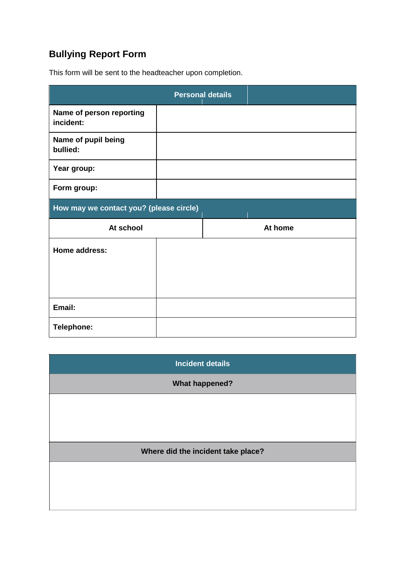## <span id="page-15-0"></span>**Bullying Report Form**

This form will be sent to the headteacher upon completion.

|                                         | <b>Personal details</b> |  |         |  |
|-----------------------------------------|-------------------------|--|---------|--|
| Name of person reporting<br>incident:   |                         |  |         |  |
| Name of pupil being<br>bullied:         |                         |  |         |  |
| Year group:                             |                         |  |         |  |
| Form group:                             |                         |  |         |  |
| How may we contact you? (please circle) |                         |  |         |  |
|                                         |                         |  |         |  |
| At school                               |                         |  | At home |  |
| Home address:                           |                         |  |         |  |
|                                         |                         |  |         |  |
|                                         |                         |  |         |  |
| Email:                                  |                         |  |         |  |

| <b>Incident details</b>            |
|------------------------------------|
| <b>What happened?</b>              |
|                                    |
|                                    |
|                                    |
| Where did the incident take place? |
|                                    |
|                                    |
|                                    |